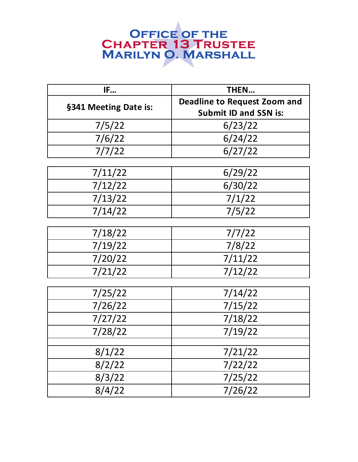| IF                    | <b>THEN</b>                         |
|-----------------------|-------------------------------------|
| §341 Meeting Date is: | <b>Deadline to Request Zoom and</b> |
|                       | <b>Submit ID and SSN is:</b>        |
| 7/5/22                | 6/23/22                             |
| 7/6/22                | 6/24/22                             |
| 7/7/22                | 6/27/22                             |
|                       |                                     |
| 7/11/22               | 6/29/22                             |
| 7/12/22               | 6/30/22                             |
| 7/13/22               | 7/1/22                              |
| 7/14/22               | 7/5/22                              |
|                       |                                     |
| 7/18/22               | 7/7/22                              |
| 7/19/22               | 7/8/22                              |
| 7/20/22               | 7/11/22                             |
| 7/21/22               | 7/12/22                             |
|                       |                                     |
| 7/25/22               | 7/14/22                             |
| 7/26/22               | 7/15/22                             |
| 7/27/22               | 7/18/22                             |
| 7/28/22               | 7/19/22                             |
| 8/1/22                | 7/21/22                             |
|                       |                                     |
| 8/2/22                | 7/22/22                             |
| 8/3/22                | 7/25/22                             |
| 8/4/22                | 7/26/22                             |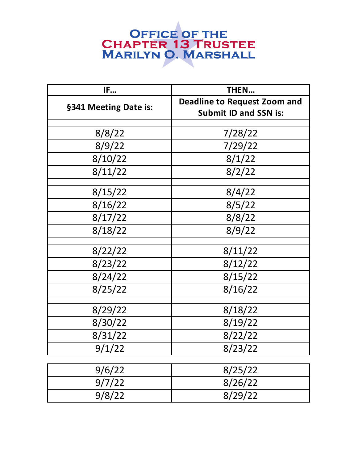| IF                    | <b>THEN</b>                         |
|-----------------------|-------------------------------------|
| §341 Meeting Date is: | <b>Deadline to Request Zoom and</b> |
|                       | <b>Submit ID and SSN is:</b>        |
|                       |                                     |
| 8/8/22                | 7/28/22                             |
| 8/9/22                | 7/29/22                             |
| 8/10/22               | 8/1/22                              |
| 8/11/22               | 8/2/22                              |
|                       |                                     |
| 8/15/22               | 8/4/22                              |
| 8/16/22               | 8/5/22                              |
| 8/17/22               | 8/8/22                              |
| 8/18/22               | 8/9/22                              |
|                       |                                     |
| 8/22/22               | 8/11/22                             |
| 8/23/22               | 8/12/22                             |
| 8/24/22               | 8/15/22                             |
| 8/25/22               | 8/16/22                             |
|                       |                                     |
| 8/29/22               | 8/18/22                             |
| 8/30/22               | 8/19/22                             |
| 8/31/22               | 8/22/22                             |
| 9/1/22                | 8/23/22                             |
|                       |                                     |
| 9/6/22                | 8/25/22                             |
| 9/7/22                | 8/26/22                             |
| 9/8/22                | 8/29/22                             |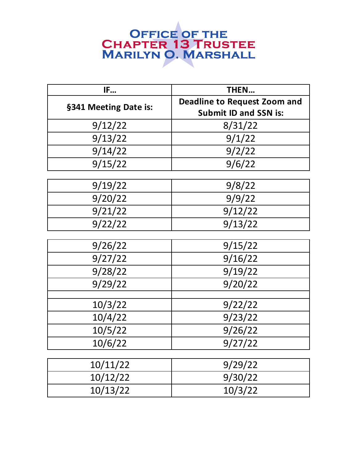| IF                    | THEN                                |
|-----------------------|-------------------------------------|
| §341 Meeting Date is: | <b>Deadline to Request Zoom and</b> |
|                       | <b>Submit ID and SSN is:</b>        |
| 9/12/22               | 8/31/22                             |
| 9/13/22               | 9/1/22                              |
| 9/14/22               | 9/2/22                              |
| 9/15/22               | 9/6/22                              |
| 9/19/22               | 9/8/22                              |
| 9/20/22               | 9/9/22                              |
| 9/21/22               | 9/12/22                             |
| 9/22/22               | 9/13/22                             |
|                       |                                     |
| 9/26/22               | 9/15/22                             |
| 9/27/22               | 9/16/22                             |
| 9/28/22               | 9/19/22                             |
| 9/29/22               | 9/20/22                             |
| 10/3/22               | 9/22/22                             |
| 10/4/22               | 9/23/22                             |
| 10/5/22               | 9/26/22                             |
| 10/6/22               | 9/27/22                             |
|                       |                                     |
| 10/11/22              | 9/29/22                             |
| 10/12/22              | 9/30/22                             |
| 10/13/22              | 10/3/22                             |